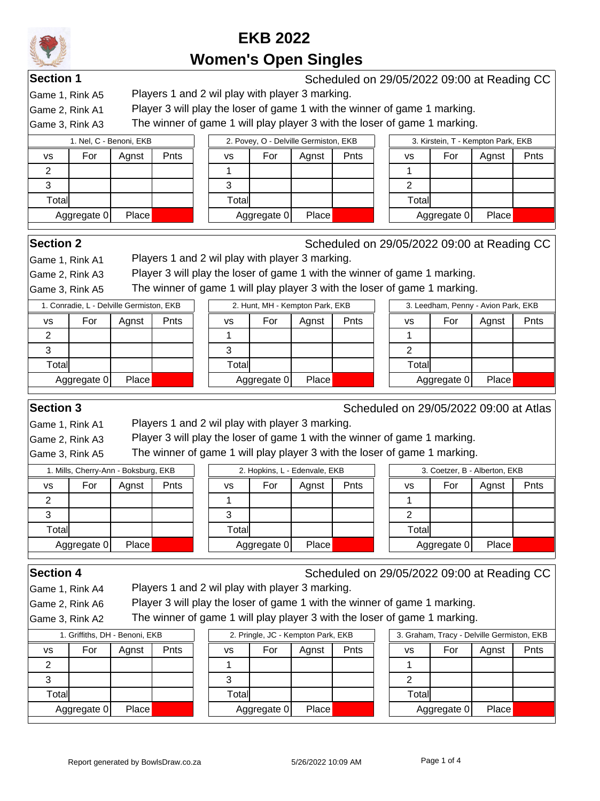**Section 1** Scheduled on 29/05/2022 09:00 at Reading CC

Game 1, Rink A5 Players 1 and 2 wil play with player 3 marking.

Game 2, Rink A1 Player 3 will play the loser of game 1 with the winner of game 1 marking.

Game 3, Rink A3 The winner of game 1 will play player 3 with the loser of game 1 marking.

| I. Nel, C - Benoni, EKB           |        | 2. Povey, O - Delville Germiston, EKB |       |      | 3. Kirstein, T - Kempton Park, EKB |             |       |      |  |  |
|-----------------------------------|--------|---------------------------------------|-------|------|------------------------------------|-------------|-------|------|--|--|
| Pnts<br>For<br>Agnst<br><b>VS</b> | vs     | For                                   | Agnst | Pnts | vs                                 | For         | Agnst | Pnts |  |  |
|                                   |        |                                       |       |      |                                    |             |       |      |  |  |
| ت                                 |        |                                       |       |      |                                    |             |       |      |  |  |
| Totall                            | Totall |                                       |       |      | Totall                             |             |       |      |  |  |
| <b>Place</b><br>Aggregate 0       |        | Aggregate 0                           | Place |      |                                    | Aggregate 0 | Place |      |  |  |

**Section 2** Scheduled on 29/05/2022 09:00 at Reading CC

Game 1, Rink A1 Players 1 and 2 wil play with player 3 marking.

Game 2, Rink A3 Player 3 will play the loser of game 1 with the winner of game 1 marking.

Game 3, Rink A5 The winner of game 1 will play player 3 with the loser of game 1 marking.

| 1. Conradie, L - Delville Germiston, EKB |             |       |      |  |  |  |  |  |  |  |
|------------------------------------------|-------------|-------|------|--|--|--|--|--|--|--|
| vs                                       | For         | Agnst | Pnts |  |  |  |  |  |  |  |
| 2                                        |             |       |      |  |  |  |  |  |  |  |
| З                                        |             |       |      |  |  |  |  |  |  |  |
| Total                                    |             |       |      |  |  |  |  |  |  |  |
|                                          | Aggregate 0 | Place |      |  |  |  |  |  |  |  |
|                                          |             |       |      |  |  |  |  |  |  |  |

|       | 2. Hunt, MH - Kempton Park, EKB |       |      |  |  |  |  |  |  |  |  |  |
|-------|---------------------------------|-------|------|--|--|--|--|--|--|--|--|--|
| vs    | For                             | Agnst | Pnts |  |  |  |  |  |  |  |  |  |
|       |                                 |       |      |  |  |  |  |  |  |  |  |  |
| З     |                                 |       |      |  |  |  |  |  |  |  |  |  |
| Total |                                 |       |      |  |  |  |  |  |  |  |  |  |
|       | Aggregate 0                     | Place |      |  |  |  |  |  |  |  |  |  |
|       |                                 |       |      |  |  |  |  |  |  |  |  |  |

|       | 3. Leedham, Penny - Avion Park, EKB |       |      |  |  |  |  |  |  |  |  |
|-------|-------------------------------------|-------|------|--|--|--|--|--|--|--|--|
| vs    | For                                 | Agnst | Pnts |  |  |  |  |  |  |  |  |
|       |                                     |       |      |  |  |  |  |  |  |  |  |
| 2     |                                     |       |      |  |  |  |  |  |  |  |  |
| Total |                                     |       |      |  |  |  |  |  |  |  |  |
|       | Aggregate 0                         | Place |      |  |  |  |  |  |  |  |  |
|       |                                     |       |      |  |  |  |  |  |  |  |  |

**Section 3** Scheduled on 29/05/2022 09:00 at Atlas

Game 1, Rink A1 Players 1 and 2 wil play with player 3 marking.

Game 2, Rink A3 Player 3 will play the loser of game 1 with the winner of game 1 marking.

Game 3, Rink A5 The winner of game 1 will play player 3 with the loser of game 1 marking.

| 1. Mills, Cherry-Ann - Boksburg, EKB |             |              | 2. Hopkins, L - Edenvale, EKB |           |             |       |      | 3. Coetzer, B - Alberton, EKB |                      |     |       |      |
|--------------------------------------|-------------|--------------|-------------------------------|-----------|-------------|-------|------|-------------------------------|----------------------|-----|-------|------|
| VS                                   | For         | Aqnst        | Pnts                          | <b>VS</b> | For         | Agnst | Pnts |                               | VS                   | For | Agnst | Pnts |
|                                      |             |              |                               |           |             |       |      |                               |                      |     |       |      |
| J                                    |             |              |                               | J         |             |       |      |                               |                      |     |       |      |
| Total                                |             |              |                               | Total     |             |       |      |                               | Total                |     |       |      |
|                                      | Aggregate 0 | <b>Place</b> |                               |           | Aggregate 0 | Place |      |                               | Place<br>Aggregate 0 |     |       |      |

Game 1, Rink A4 Players 1 and 2 wil play with player 3 marking.

**Section 4** Scheduled on 29/05/2022 09:00 at Reading CC

Game 2, Rink A6 Player 3 will play the loser of game 1 with the winner of game 1 marking.

Game 3, Rink A2 The winner of game 1 will play player 3 with the loser of game 1 marking.

| 1. Griffiths, DH - Benoni, EKB |             |       |      |  |  |  |  |  |  |  |
|--------------------------------|-------------|-------|------|--|--|--|--|--|--|--|
| VS                             | For         | Agnst | Pnts |  |  |  |  |  |  |  |
| 2                              |             |       |      |  |  |  |  |  |  |  |
| з                              |             |       |      |  |  |  |  |  |  |  |
| Total                          |             |       |      |  |  |  |  |  |  |  |
|                                | Aggregate 0 | Place |      |  |  |  |  |  |  |  |

|       | 2. Pringle, JC - Kempton Park, EKB |       |      |  |
|-------|------------------------------------|-------|------|--|
| vs    | For                                | Agnst | Pnts |  |
|       |                                    |       |      |  |
| 3     |                                    |       |      |  |
| Total |                                    |       |      |  |
|       | Aggregate 0                        | Place |      |  |
|       |                                    |       |      |  |

| 1. Griffiths, DH - Benoni, EKB |              |      |        | 2. Pringle, JC - Kempton Park, EKB |       |      | 3. Graham, Tracy - Delville Germiston, EKB |             |       |      |  |  |
|--------------------------------|--------------|------|--------|------------------------------------|-------|------|--------------------------------------------|-------------|-------|------|--|--|
| For                            | Agnst        | Pnts | vs     | For                                | Aqnst | Pnts | vs                                         | For         | Agnst | Pnts |  |  |
|                                |              |      |        |                                    |       |      |                                            |             |       |      |  |  |
|                                |              |      |        |                                    |       |      |                                            |             |       |      |  |  |
| all                            |              |      | Totall |                                    |       |      | Totall                                     |             |       |      |  |  |
| ∖ggregate 0                    | <b>Place</b> |      |        | Aggregate 0                        | Place |      |                                            | Aggregate 0 | Place |      |  |  |
|                                |              |      |        |                                    |       |      |                                            |             |       |      |  |  |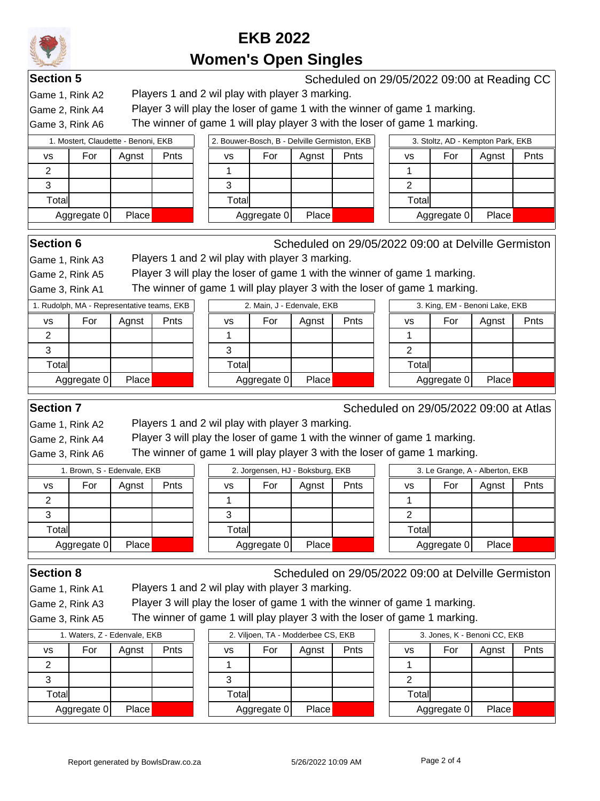Game 1, Rink A2 Players 1 and 2 wil play with player 3 marking.

**Section 5** Scheduled on 29/05/2022 09:00 at Reading CC

Game 2, Rink A4 Player 3 will play the loser of game 1 with the winner of game 1 marking.

Game 3, Rink A6 The winner of game 1 will play player 3 with the loser of game 1 marking.

| 1. Mostert, Claudette - Benoni, EKB |             |       |      |  |  |  |  |  |  |  |
|-------------------------------------|-------------|-------|------|--|--|--|--|--|--|--|
| vs                                  | For         | Agnst | Pnts |  |  |  |  |  |  |  |
|                                     |             |       |      |  |  |  |  |  |  |  |
|                                     |             |       |      |  |  |  |  |  |  |  |
| Total                               |             |       |      |  |  |  |  |  |  |  |
|                                     | Aggregate 0 | Place |      |  |  |  |  |  |  |  |

| 1. Mostert, Claudette - Benoni, EKB |             |       |      | 2. Bouwer-Bosch, B - Delville Germiston, EKB |     | 3. Stoltz, AD - Kempton Park, EKB |             |             |     |       |   |
|-------------------------------------|-------------|-------|------|----------------------------------------------|-----|-----------------------------------|-------------|-------------|-----|-------|---|
|                                     | For         | Aanst | Pnts | vs                                           | For | Aanst                             | <b>Pnts</b> | vs          | For | Agnst | P |
|                                     |             |       |      |                                              |     |                                   |             |             |     |       |   |
|                                     |             |       |      |                                              |     |                                   |             |             |     |       |   |
| Γotall                              |             |       |      | Totall                                       |     |                                   |             | Totall      |     |       |   |
|                                     | Aggregate 0 | Place |      | Aggregate 0                                  |     | Place                             |             | Aggregate 0 |     | Place |   |

| 3. Stoltz, AD - Kempton Park, EKB |             |       |      |  |  |  |  |  |  |  |  |
|-----------------------------------|-------------|-------|------|--|--|--|--|--|--|--|--|
| VS                                | For         | Agnst | Pnts |  |  |  |  |  |  |  |  |
|                                   |             |       |      |  |  |  |  |  |  |  |  |
|                                   |             |       |      |  |  |  |  |  |  |  |  |
| Total                             |             |       |      |  |  |  |  |  |  |  |  |
|                                   | Aggregate 0 | Place |      |  |  |  |  |  |  |  |  |

**Section 6** Scheduled on 29/05/2022 09:00 at Delville Germiston

 $\mathbf{L}$ 

Game 1, Rink A3 Players 1 and 2 wil play with player 3 marking.

Game 2, Rink A5 Player 3 will play the loser of game 1 with the winner of game 1 marking. Game 3, Rink A1 The winner of game 1 will play player 3 with the loser of game 1 marking.

| 1. Rudolph, MA - Representative teams, EKB |             |       | 2. Main, J - Edenvale, EKB |       |             |       |      | 3. King, EM - Benoni Lake, EKB |        |             |       |  |
|--------------------------------------------|-------------|-------|----------------------------|-------|-------------|-------|------|--------------------------------|--------|-------------|-------|--|
| vs                                         | For         | Aanst | <b>Pnts</b>                | vs    | For         | Agnst | Pnts |                                | vs     | For         | Agnst |  |
|                                            |             |       |                            |       |             |       |      |                                |        |             |       |  |
|                                            |             |       |                            |       |             |       |      |                                |        |             |       |  |
| Totall                                     |             |       |                            | Total |             |       |      |                                | Totall |             |       |  |
|                                            | Aggregate 0 | Place |                            |       | Aggregate 0 | Place |      |                                |        | Aggregate 0 | Place |  |

| 3. King, EM - Benoni Lake, EKB |             |       |  |  |  |  |  |  |  |
|--------------------------------|-------------|-------|--|--|--|--|--|--|--|
| VS                             | For         | Pnts  |  |  |  |  |  |  |  |
|                                |             |       |  |  |  |  |  |  |  |
| 2                              |             |       |  |  |  |  |  |  |  |
| Total                          |             |       |  |  |  |  |  |  |  |
|                                | Aggregate 0 | Place |  |  |  |  |  |  |  |

**Section 7** Scheduled on 29/05/2022 09:00 at Atlas

Game 1, Rink A2 Players 1 and 2 wil play with player 3 marking.

Game 2, Rink A4 Player 3 will play the loser of game 1 with the winner of game 1 marking.

Game 3, Rink A6 The winner of game 1 will play player 3 with the loser of game 1 marking.

|       | . Brown, S - Edenvale, EKB |       |      | 2. Jorgensen, HJ - Boksburg, EKB |             |       |      |  | 3. Le Grange, A - Alberton, EKB |             |       |      |
|-------|----------------------------|-------|------|----------------------------------|-------------|-------|------|--|---------------------------------|-------------|-------|------|
| VS    | For                        | Aqnst | Pnts | vs                               | For         | Agnst | Pnts |  | vs                              | For         | Agnst | Pnts |
| ◠     |                            |       |      |                                  |             |       |      |  |                                 |             |       |      |
| ົ     |                            |       |      |                                  |             |       |      |  |                                 |             |       |      |
| Total |                            |       |      | Total                            |             |       |      |  | Total                           |             |       |      |
|       | Aggregate 0                | Place |      |                                  | Aggregate 0 | Place |      |  |                                 | Aggregate 0 | Place |      |

**Section 8** Scheduled on 29/05/2022 09:00 at Delville Germiston Game 1, Rink A1 Players 1 and 2 wil play with player 3 marking.

Game 2, Rink A3 Player 3 will play the loser of game 1 with the winner of game 1 marking.

Game 3, Rink A5 The winner of game 1 will play player 3 with the loser of game 1 marking.

|           | 1. Waters, Z - Edenvale, EKB |       |      | 2. Viljoen, TA - Modderbee CS, EKB |             |       |      |  | 3. Jones, K - Benoni CC, EKB |             |       |  |
|-----------|------------------------------|-------|------|------------------------------------|-------------|-------|------|--|------------------------------|-------------|-------|--|
| <b>VS</b> | For                          | Agnst | Pnts | vs                                 | For         | Agnst | Pnts |  | vs                           | For         | Agnst |  |
|           |                              |       |      |                                    |             |       |      |  |                              |             |       |  |
|           |                              |       |      | đ                                  |             |       |      |  |                              |             |       |  |
| Total     |                              |       |      | Totall                             |             |       |      |  | Total                        |             |       |  |
|           | Aggregate 0                  | Place |      |                                    | Aggregate 0 | Place |      |  |                              | Aggregate 0 | Place |  |

|       | Z. VIIIOEN, TA - MOQQEIDEE CS, EKB |       |      |  |  |  |  |  |  |  |  |  |
|-------|------------------------------------|-------|------|--|--|--|--|--|--|--|--|--|
| vs    | For                                | Agnst | Pnts |  |  |  |  |  |  |  |  |  |
|       |                                    |       |      |  |  |  |  |  |  |  |  |  |
| 3     |                                    |       |      |  |  |  |  |  |  |  |  |  |
| Total |                                    |       |      |  |  |  |  |  |  |  |  |  |
|       | Aggregate 0                        | Place |      |  |  |  |  |  |  |  |  |  |
|       |                                    |       |      |  |  |  |  |  |  |  |  |  |

| 3. Jones, K - Benoni CC, EKB |             |       |      |  |  |  |  |  |  |
|------------------------------|-------------|-------|------|--|--|--|--|--|--|
| VS                           | For         | Agnst | Pnts |  |  |  |  |  |  |
|                              |             |       |      |  |  |  |  |  |  |
| 2                            |             |       |      |  |  |  |  |  |  |
| Total                        |             |       |      |  |  |  |  |  |  |
|                              | Aggregate 0 | Place |      |  |  |  |  |  |  |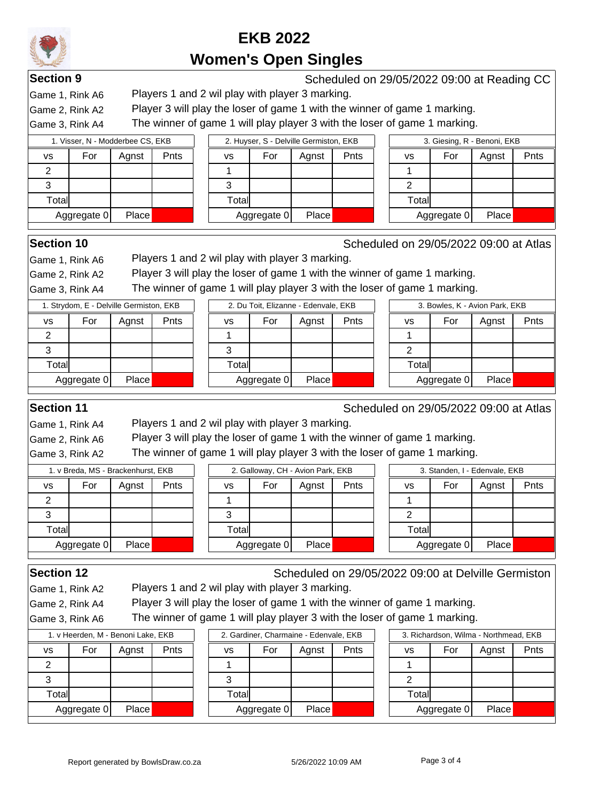**Section 9** Scheduled on 29/05/2022 09:00 at Reading CC

Game 1, Rink A6 Players 1 and 2 wil play with player 3 marking.

Game 2, Rink A2 Player 3 will play the loser of game 1 with the winner of game 1 marking.

Game 3, Rink A4 The winner of game 1 will play player 3 with the loser of game 1 marking.

|           | 1. Visser, N - Modderbee CS, EKB |              |      |        | 2. Huyser, S - Delville Germiston, EKB |       |      |        | 3. Giesing, R - Benoni, EKB |       |      |  |
|-----------|----------------------------------|--------------|------|--------|----------------------------------------|-------|------|--------|-----------------------------|-------|------|--|
| <b>VS</b> | For                              | Agnst        | Pnts | VS     | For                                    | Agnst | Pnts | vs     | For                         | Agnst | Pnts |  |
| ◠         |                                  |              |      |        |                                        |       |      |        |                             |       |      |  |
|           |                                  |              |      | 2<br>c |                                        |       |      |        |                             |       |      |  |
| Totall    |                                  |              |      | Totall |                                        |       |      | Totall |                             |       |      |  |
|           | Aggregate 0                      | <b>Place</b> |      |        | Aggregate 0                            | Place |      |        | Aggregate 0                 | Place |      |  |
|           |                                  |              |      |        |                                        |       |      |        |                             |       |      |  |

**Section 10** Scheduled on 29/05/2022 09:00 at Atlas

Game 1, Rink A6 Players 1 and 2 wil play with player 3 marking.

Game 2, Rink A2 Player 3 will play the loser of game 1 with the winner of game 1 marking.

Game 3, Rink A4 The winner of game 1 will play player 3 with the loser of game 1 marking.

|           | 1. Strydom, E - Delville Germiston, EKB |              |             | 2. Du Toit, Elizanne - Edenvale, EKB |        |             |       |      | 3. Bowles, K - Avion Park, EKB |             |       |  |
|-----------|-----------------------------------------|--------------|-------------|--------------------------------------|--------|-------------|-------|------|--------------------------------|-------------|-------|--|
| <b>VS</b> | For                                     | Aqnst        | <b>Pnts</b> |                                      | vs     | For         | Agnst | Pnts | vs                             | For         | Agnst |  |
| っ         |                                         |              |             |                                      |        |             |       |      |                                |             |       |  |
| ≏         |                                         |              |             |                                      |        |             |       |      |                                |             |       |  |
| Total     |                                         |              |             |                                      | Totall |             |       |      | Total                          |             |       |  |
|           | Aggregate 0                             | <b>Place</b> |             |                                      |        | Aggregate 0 | Place |      |                                | Aggregate 0 | Place |  |
|           |                                         |              |             |                                      |        |             |       |      |                                |             |       |  |

|       | 2. Du Tolt, Elizanne - Edenvale, EKB |       |      |  |  |  |  |  |  |  |  |
|-------|--------------------------------------|-------|------|--|--|--|--|--|--|--|--|
| vs    | For                                  | Agnst | Pnts |  |  |  |  |  |  |  |  |
|       |                                      |       |      |  |  |  |  |  |  |  |  |
| 3     |                                      |       |      |  |  |  |  |  |  |  |  |
| Total |                                      |       |      |  |  |  |  |  |  |  |  |
|       | Aggregate 0                          | Place |      |  |  |  |  |  |  |  |  |
|       |                                      |       |      |  |  |  |  |  |  |  |  |

| 3. Bowles, K - Avion Park, EKB |             |       |      |  |  |  |  |  |  |
|--------------------------------|-------------|-------|------|--|--|--|--|--|--|
| vs                             | For         | Agnst | Pnts |  |  |  |  |  |  |
|                                |             |       |      |  |  |  |  |  |  |
| 2                              |             |       |      |  |  |  |  |  |  |
| Total                          |             |       |      |  |  |  |  |  |  |
|                                | Aggregate 0 | Place |      |  |  |  |  |  |  |

**Section 11** Section 11 Scheduled on 29/05/2022 09:00 at Atlas

Game 1, Rink A4 Players 1 and 2 wil play with player 3 marking.

Game 2, Rink A6 Player 3 will play the loser of game 1 with the winner of game 1 marking.

Game 3, Rink A2 The winner of game 1 will play player 3 with the loser of game 1 marking.

|           | 1. v Breda, MS - Brackenhurst, EKB |       |      |       |             | 2. Galloway, CH - Avion Park, EKB |      | 3. Standen, I - Edenvale, EKB |       |             |       |      |
|-----------|------------------------------------|-------|------|-------|-------------|-----------------------------------|------|-------------------------------|-------|-------------|-------|------|
| <b>VS</b> | For                                | Agnst | Pnts | vs    | For         | Agnst                             | Pnts |                               | vs    | For         | Agnst | Pnts |
|           |                                    |       |      |       |             |                                   |      |                               |       |             |       |      |
|           |                                    |       |      | J     |             |                                   |      |                               |       |             |       |      |
| Total     |                                    |       |      | Total |             |                                   |      |                               | Total |             |       |      |
|           | Aggregate 0                        | Place |      |       | Aggregate 0 | Place                             |      |                               |       | Aggregate 0 | Place |      |

Game 1, Rink A2 Players 1 and 2 wil play with player 3 marking.

**Section 12** Scheduled on 29/05/2022 09:00 at Delville Germiston

Game 2, Rink A4 Player 3 will play the loser of game 1 with the winner of game 1 marking.

Game 3, Rink A6 The winner of game 1 will play player 3 with the loser of game 1 marking.

|           | 1. v Heerden, M - Benoni Lake, EKB |       |      |       | 2. Gardiner, Charmaine - Edenvale, EKB |                    |      |  | 3. Richardson, Wilma - Northmead, EKB |             |       |      |  |
|-----------|------------------------------------|-------|------|-------|----------------------------------------|--------------------|------|--|---------------------------------------|-------------|-------|------|--|
| <b>VS</b> | For                                | Agnst | Pnts | vs    | For                                    | Agnst              | Pnts |  | vs                                    | For         | Agnst | Pnts |  |
|           |                                    |       |      |       |                                        |                    |      |  |                                       |             |       |      |  |
|           |                                    |       |      |       |                                        |                    |      |  |                                       |             |       |      |  |
| Total     |                                    |       |      | Total |                                        |                    |      |  | Totall                                |             |       |      |  |
|           | Aggregate 0                        | Place |      |       | Aggregate 0                            | Place <sub>1</sub> |      |  |                                       | Aggregate 0 | Place |      |  |

|       | 2. Gardiner, Charmaine - Edenvale, EKB |       |      |  |  |  |  |  |  |  |  |
|-------|----------------------------------------|-------|------|--|--|--|--|--|--|--|--|
| vs    | For                                    | Agnst | Pnts |  |  |  |  |  |  |  |  |
|       |                                        |       |      |  |  |  |  |  |  |  |  |
| 3     |                                        |       |      |  |  |  |  |  |  |  |  |
| Total |                                        |       |      |  |  |  |  |  |  |  |  |
|       | Aggregate 0                            | Place |      |  |  |  |  |  |  |  |  |
|       |                                        |       |      |  |  |  |  |  |  |  |  |

| 3. Richardson, Wilma - Northmead, EKB |             |       |      |  |  |  |  |  |  |  |
|---------------------------------------|-------------|-------|------|--|--|--|--|--|--|--|
| VS                                    | For         | Agnst | Pnts |  |  |  |  |  |  |  |
|                                       |             |       |      |  |  |  |  |  |  |  |
| 2                                     |             |       |      |  |  |  |  |  |  |  |
| Total                                 |             |       |      |  |  |  |  |  |  |  |
|                                       | Aggregate 0 | Place |      |  |  |  |  |  |  |  |
|                                       |             |       |      |  |  |  |  |  |  |  |